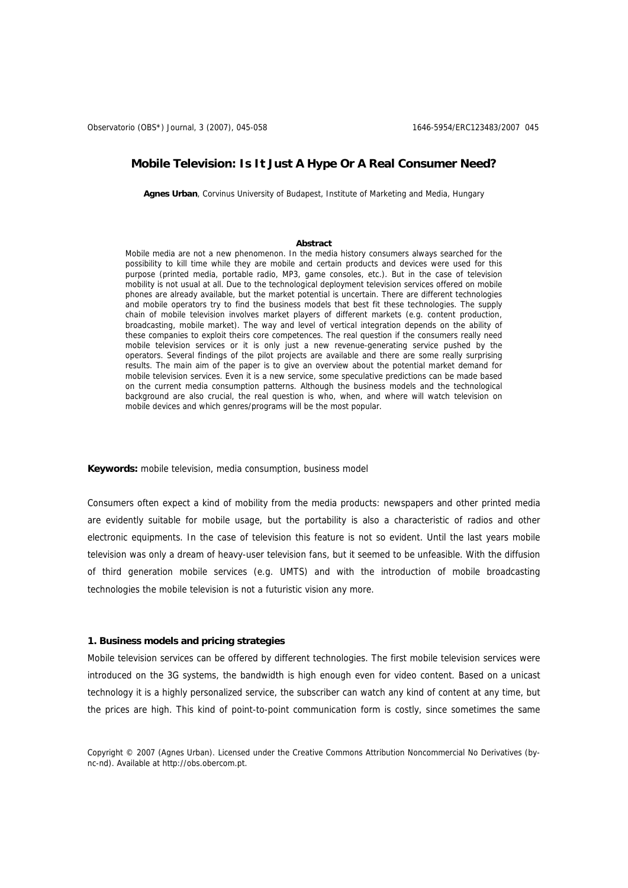# **Mobile Television: Is It Just A Hype Or A Real Consumer Need?**

**Agnes Urban**, Corvinus University of Budapest, Institute of Marketing and Media, Hungary

#### **Abstract**

Mobile media are not a new phenomenon. In the media history consumers always searched for the possibility to kill time while they are mobile and certain products and devices were used for this purpose (printed media, portable radio, MP3, game consoles, etc.). But in the case of television mobility is not usual at all. Due to the technological deployment television services offered on mobile phones are already available, but the market potential is uncertain. There are different technologies and mobile operators try to find the business models that best fit these technologies. The supply chain of mobile television involves market players of different markets (e.g. content production, broadcasting, mobile market). The way and level of vertical integration depends on the ability of these companies to exploit theirs core competences. The real question if the consumers really need mobile television services or it is only just a new revenue-generating service pushed by the operators. Several findings of the pilot projects are available and there are some really surprising results. The main aim of the paper is to give an overview about the potential market demand for mobile television services. Even it is a new service, some speculative predictions can be made based on the current media consumption patterns. Although the business models and the technological background are also crucial, the real question is who, when, and where will watch television on mobile devices and which genres/programs will be the most popular.

**Keywords:** mobile television, media consumption, business model

Consumers often expect a kind of mobility from the media products: newspapers and other printed media are evidently suitable for mobile usage, but the portability is also a characteristic of radios and other electronic equipments. In the case of television this feature is not so evident. Until the last years mobile television was only a dream of heavy-user television fans, but it seemed to be unfeasible. With the diffusion of third generation mobile services (e.g. UMTS) and with the introduction of mobile broadcasting technologies the mobile television is not a futuristic vision any more.

## **1. Business models and pricing strategies**

Mobile television services can be offered by different technologies. The first mobile television services were introduced on the 3G systems, the bandwidth is high enough even for video content. Based on a unicast technology it is a highly personalized service, the subscriber can watch any kind of content at any time, but the prices are high. This kind of point-to-point communication form is costly, since sometimes the same

Copyright © 2007 (Agnes Urban). Licensed under the Creative Commons Attribution Noncommercial No Derivatives (bync-nd). Available at http://obs.obercom.pt.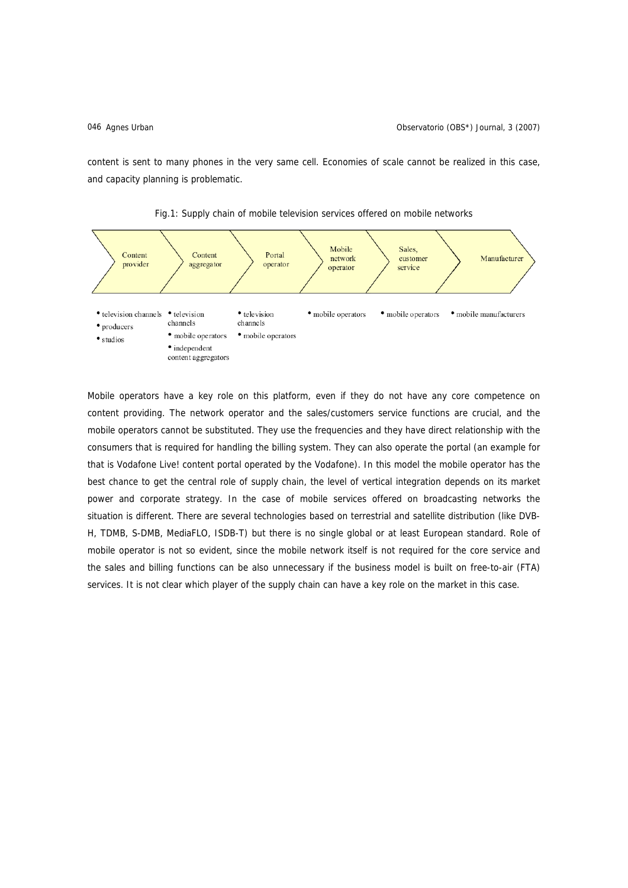content is sent to many phones in the very same cell. Economies of scale cannot be realized in this case, and capacity planning is problematic.





Mobile operators have a key role on this platform, even if they do not have any core competence on content providing. The network operator and the sales/customers service functions are crucial, and the mobile operators cannot be substituted. They use the frequencies and they have direct relationship with the consumers that is required for handling the billing system. They can also operate the portal (an example for that is Vodafone Live! content portal operated by the Vodafone). In this model the mobile operator has the best chance to get the central role of supply chain, the level of vertical integration depends on its market power and corporate strategy. In the case of mobile services offered on broadcasting networks the situation is different. There are several technologies based on terrestrial and satellite distribution (like DVB-H, TDMB, S-DMB, MediaFLO, ISDB-T) but there is no single global or at least European standard. Role of mobile operator is not so evident, since the mobile network itself is not required for the core service and the sales and billing functions can be also unnecessary if the business model is built on free-to-air (FTA) services. It is not clear which player of the supply chain can have a key role on the market in this case.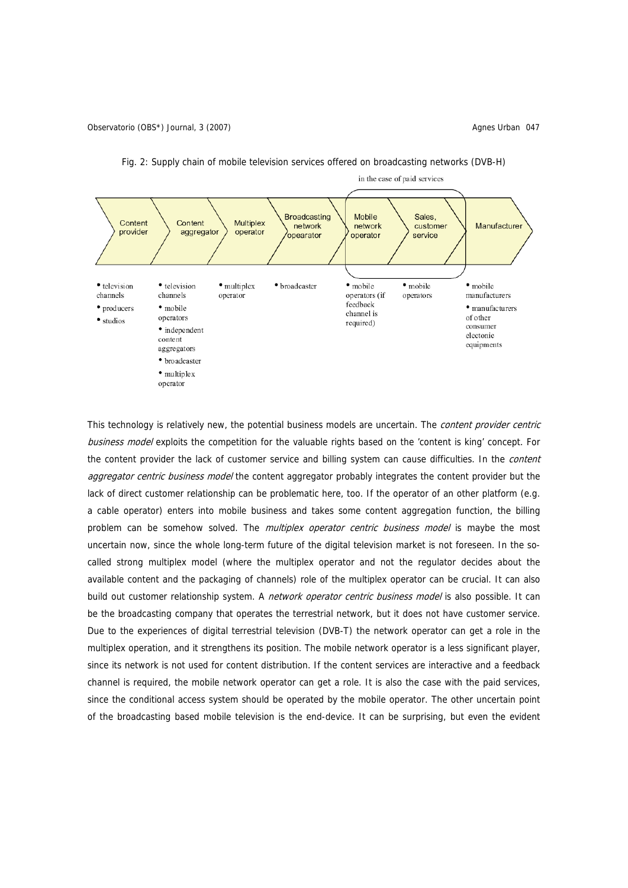



This technology is relatively new, the potential business models are uncertain. The *content provider centric* business model exploits the competition for the valuable rights based on the 'content is king' concept. For the content provider the lack of customer service and billing system can cause difficulties. In the *content* aggregator centric business model the content aggregator probably integrates the content provider but the lack of direct customer relationship can be problematic here, too. If the operator of an other platform (e.g. a cable operator) enters into mobile business and takes some content aggregation function, the billing problem can be somehow solved. The *multiplex operator centric business model* is maybe the most uncertain now, since the whole long-term future of the digital television market is not foreseen. In the socalled strong multiplex model (where the multiplex operator and not the regulator decides about the available content and the packaging of channels) role of the multiplex operator can be crucial. It can also build out customer relationship system. A *network operator centric business model* is also possible. It can be the broadcasting company that operates the terrestrial network, but it does not have customer service. Due to the experiences of digital terrestrial television (DVB-T) the network operator can get a role in the multiplex operation, and it strengthens its position. The mobile network operator is a less significant player, since its network is not used for content distribution. If the content services are interactive and a feedback channel is required, the mobile network operator can get a role. It is also the case with the paid services, since the conditional access system should be operated by the mobile operator. The other uncertain point of the broadcasting based mobile television is the end-device. It can be surprising, but even the evident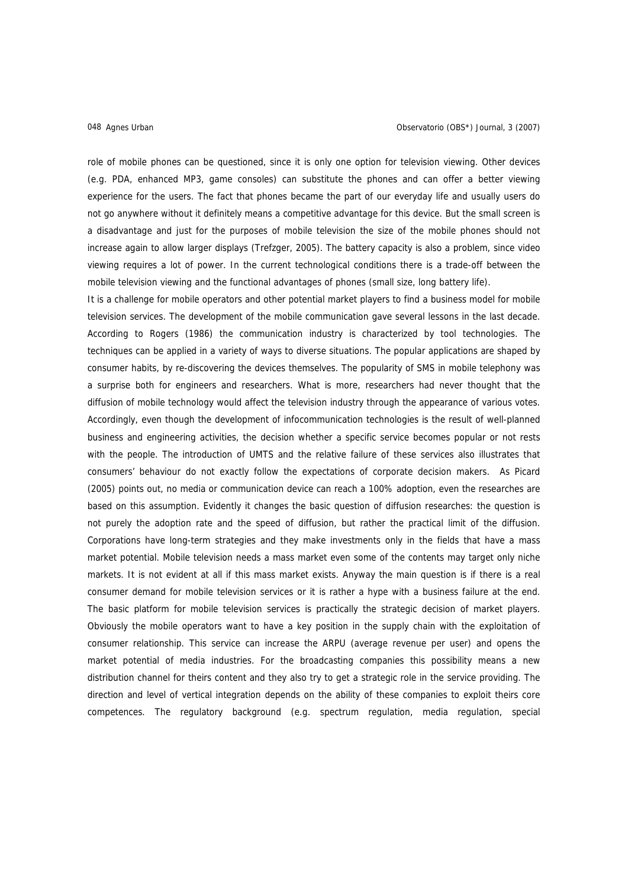role of mobile phones can be questioned, since it is only one option for television viewing. Other devices (e.g. PDA, enhanced MP3, game consoles) can substitute the phones and can offer a better viewing experience for the users. The fact that phones became the part of our everyday life and usually users do not go anywhere without it definitely means a competitive advantage for this device. But the small screen is a disadvantage and just for the purposes of mobile television the size of the mobile phones should not increase again to allow larger displays (Trefzger, 2005). The battery capacity is also a problem, since video viewing requires a lot of power. In the current technological conditions there is a trade-off between the mobile television viewing and the functional advantages of phones (small size, long battery life).

It is a challenge for mobile operators and other potential market players to find a business model for mobile television services. The development of the mobile communication gave several lessons in the last decade. According to Rogers (1986) the communication industry is characterized by tool technologies. The techniques can be applied in a variety of ways to diverse situations. The popular applications are shaped by consumer habits, by re-discovering the devices themselves. The popularity of SMS in mobile telephony was a surprise both for engineers and researchers. What is more, researchers had never thought that the diffusion of mobile technology would affect the television industry through the appearance of various votes. Accordingly, even though the development of infocommunication technologies is the result of well-planned business and engineering activities, the decision whether a specific service becomes popular or not rests with the people. The introduction of UMTS and the relative failure of these services also illustrates that consumers' behaviour do not exactly follow the expectations of corporate decision makers. As Picard (2005) points out, no media or communication device can reach a 100% adoption, even the researches are based on this assumption. Evidently it changes the basic question of diffusion researches: the question is not purely the adoption rate and the speed of diffusion, but rather the practical limit of the diffusion. Corporations have long-term strategies and they make investments only in the fields that have a mass market potential. Mobile television needs a mass market even some of the contents may target only niche markets. It is not evident at all if this mass market exists. Anyway the main question is if there is a real consumer demand for mobile television services or it is rather a hype with a business failure at the end. The basic platform for mobile television services is practically the strategic decision of market players. Obviously the mobile operators want to have a key position in the supply chain with the exploitation of consumer relationship. This service can increase the ARPU (average revenue per user) and opens the market potential of media industries. For the broadcasting companies this possibility means a new distribution channel for theirs content and they also try to get a strategic role in the service providing. The direction and level of vertical integration depends on the ability of these companies to exploit theirs core competences. The regulatory background (e.g. spectrum regulation, media regulation, special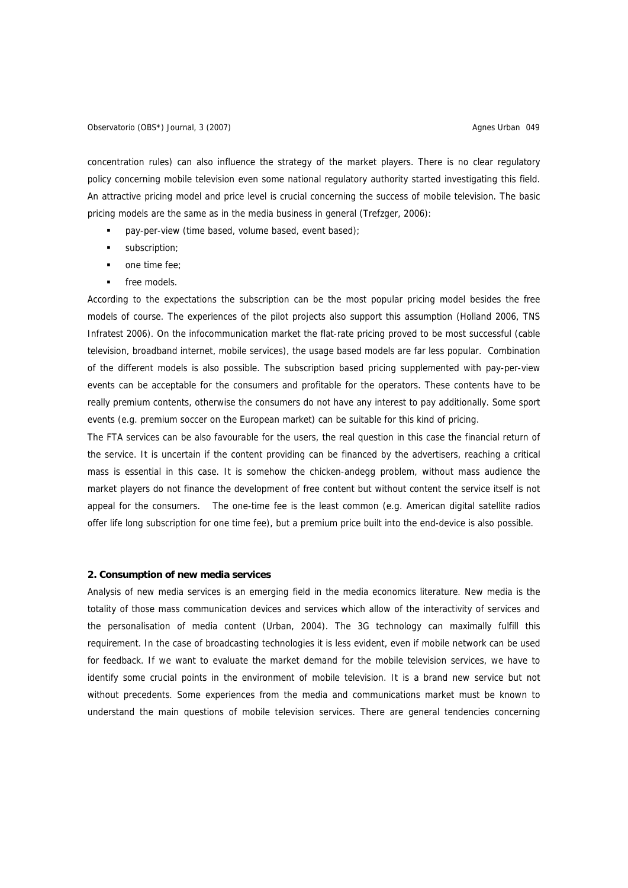concentration rules) can also influence the strategy of the market players. There is no clear regulatory policy concerning mobile television even some national regulatory authority started investigating this field. An attractive pricing model and price level is crucial concerning the success of mobile television. The basic pricing models are the same as in the media business in general (Trefzger, 2006):

- pay-per-view (time based, volume based, event based);
- subscription;
- one time fee;
- free models.

According to the expectations the subscription can be the most popular pricing model besides the free models of course. The experiences of the pilot projects also support this assumption (Holland 2006, TNS Infratest 2006). On the infocommunication market the flat-rate pricing proved to be most successful (cable television, broadband internet, mobile services), the usage based models are far less popular. Combination of the different models is also possible. The subscription based pricing supplemented with pay-per-view events can be acceptable for the consumers and profitable for the operators. These contents have to be really premium contents, otherwise the consumers do not have any interest to pay additionally. Some sport events (e.g. premium soccer on the European market) can be suitable for this kind of pricing.

The FTA services can be also favourable for the users, the real question in this case the financial return of the service. It is uncertain if the content providing can be financed by the advertisers, reaching a critical mass is essential in this case. It is somehow the chicken-andegg problem, without mass audience the market players do not finance the development of free content but without content the service itself is not appeal for the consumers. The one-time fee is the least common (e.g. American digital satellite radios offer life long subscription for one time fee), but a premium price built into the end-device is also possible.

## **2. Consumption of new media services**

Analysis of new media services is an emerging field in the media economics literature. New media is the totality of those mass communication devices and services which allow of the interactivity of services and the personalisation of media content (Urban, 2004). The 3G technology can maximally fulfill this requirement. In the case of broadcasting technologies it is less evident, even if mobile network can be used for feedback. If we want to evaluate the market demand for the mobile television services, we have to identify some crucial points in the environment of mobile television. It is a brand new service but not without precedents. Some experiences from the media and communications market must be known to understand the main questions of mobile television services. There are general tendencies concerning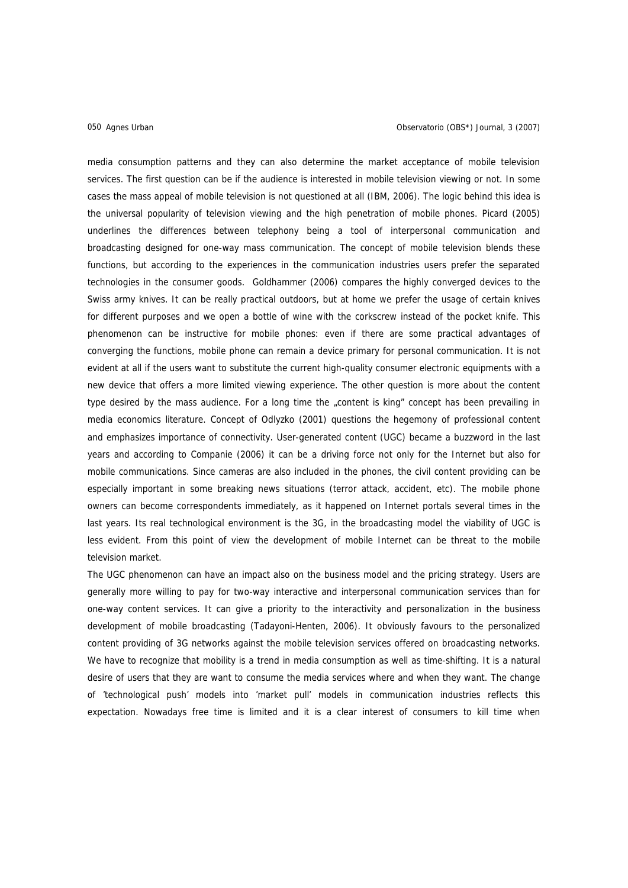media consumption patterns and they can also determine the market acceptance of mobile television services. The first question can be if the audience is interested in mobile television viewing or not. In some cases the mass appeal of mobile television is not questioned at all (IBM, 2006). The logic behind this idea is the universal popularity of television viewing and the high penetration of mobile phones. Picard (2005) underlines the differences between telephony being a tool of interpersonal communication and broadcasting designed for one-way mass communication. The concept of mobile television blends these functions, but according to the experiences in the communication industries users prefer the separated technologies in the consumer goods. Goldhammer (2006) compares the highly converged devices to the Swiss army knives. It can be really practical outdoors, but at home we prefer the usage of certain knives for different purposes and we open a bottle of wine with the corkscrew instead of the pocket knife. This phenomenon can be instructive for mobile phones: even if there are some practical advantages of converging the functions, mobile phone can remain a device primary for personal communication. It is not evident at all if the users want to substitute the current high-quality consumer electronic equipments with a new device that offers a more limited viewing experience. The other question is more about the content type desired by the mass audience. For a long time the "content is king" concept has been prevailing in media economics literature. Concept of Odlyzko (2001) questions the hegemony of professional content and emphasizes importance of connectivity. User-generated content (UGC) became a buzzword in the last years and according to Companie (2006) it can be a driving force not only for the Internet but also for mobile communications. Since cameras are also included in the phones, the civil content providing can be especially important in some breaking news situations (terror attack, accident, etc). The mobile phone owners can become correspondents immediately, as it happened on Internet portals several times in the last years. Its real technological environment is the 3G, in the broadcasting model the viability of UGC is less evident. From this point of view the development of mobile Internet can be threat to the mobile television market.

The UGC phenomenon can have an impact also on the business model and the pricing strategy. Users are generally more willing to pay for two-way interactive and interpersonal communication services than for one-way content services. It can give a priority to the interactivity and personalization in the business development of mobile broadcasting (Tadayoni-Henten, 2006). It obviously favours to the personalized content providing of 3G networks against the mobile television services offered on broadcasting networks. We have to recognize that mobility is a trend in media consumption as well as time-shifting. It is a natural desire of users that they are want to consume the media services where and when they want. The change of 'technological push' models into 'market pull' models in communication industries reflects this expectation. Nowadays free time is limited and it is a clear interest of consumers to kill time when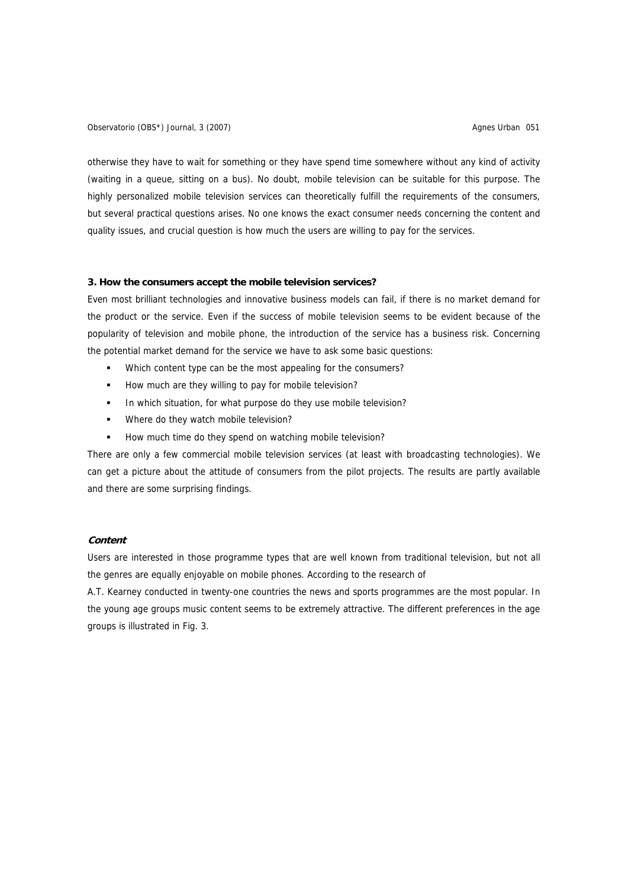Observatorio (OBS\*) Journal, 3 (2007) <br>
and Contract Urban 051 and Contract Urban 051 and Contract Urban 051

otherwise they have to wait for something or they have spend time somewhere without any kind of activity (waiting in a queue, sitting on a bus). No doubt, mobile television can be suitable for this purpose. The highly personalized mobile television services can theoretically fulfill the requirements of the consumers, but several practical questions arises. No one knows the exact consumer needs concerning the content and quality issues, and crucial question is how much the users are willing to pay for the services.

## **3. How the consumers accept the mobile television services?**

Even most brilliant technologies and innovative business models can fail, if there is no market demand for the product or the service. Even if the success of mobile television seems to be evident because of the popularity of television and mobile phone, the introduction of the service has a business risk. Concerning the potential market demand for the service we have to ask some basic questions:

- Which content type can be the most appealing for the consumers?
- How much are they willing to pay for mobile television?
- In which situation, for what purpose do they use mobile television?
- Where do they watch mobile television?
- How much time do they spend on watching mobile television?

There are only a few commercial mobile television services (at least with broadcasting technologies). We can get a picture about the attitude of consumers from the pilot projects. The results are partly available and there are some surprising findings.

## **Content**

Users are interested in those programme types that are well known from traditional television, but not all the genres are equally enjoyable on mobile phones. According to the research of

A.T. Kearney conducted in twenty-one countries the news and sports programmes are the most popular. In the young age groups music content seems to be extremely attractive. The different preferences in the age groups is illustrated in Fig. 3.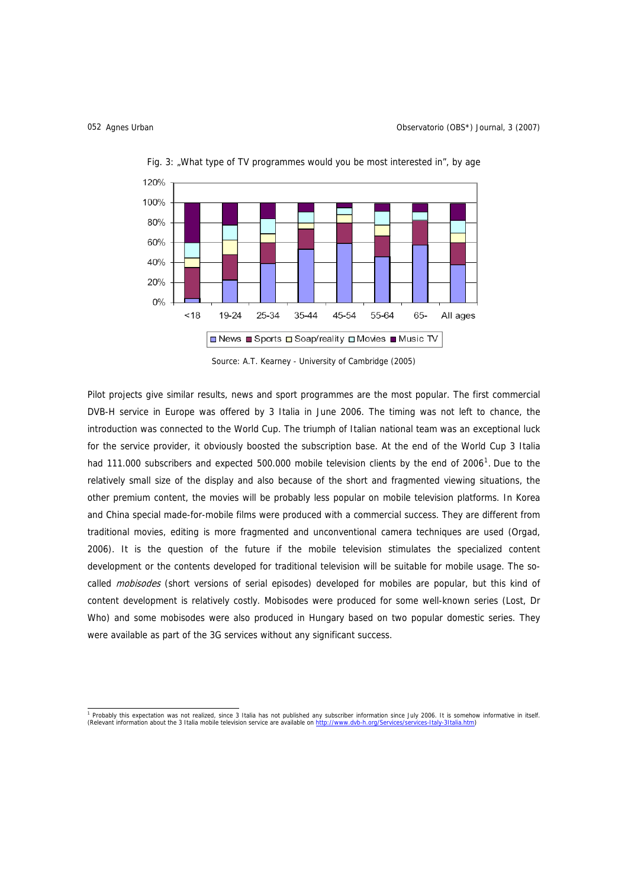

Fig. 3: "What type of TV programmes would you be most interested in", by age

Source: A.T. Kearney - University of Cambridge (2005)

Pilot projects give similar results, news and sport programmes are the most popular. The first commercial DVB-H service in Europe was offered by 3 Italia in June 2006. The timing was not left to chance, the introduction was connected to the World Cup. The triumph of Italian national team was an exceptional luck for the service provider, it obviously boosted the subscription base. At the end of the World Cup 3 Italia had [1](#page-7-0)11.000 subscribers and expected 500.000 mobile television clients by the end of 2006<sup>1</sup>. Due to the relatively small size of the display and also because of the short and fragmented viewing situations, the other premium content, the movies will be probably less popular on mobile television platforms. In Korea and China special made-for-mobile films were produced with a commercial success. They are different from traditional movies, editing is more fragmented and unconventional camera techniques are used (Orgad, 2006). It is the question of the future if the mobile television stimulates the specialized content development or the contents developed for traditional television will be suitable for mobile usage. The socalled *mobisodes* (short versions of serial episodes) developed for mobiles are popular, but this kind of content development is relatively costly. Mobisodes were produced for some well-known series (Lost, Dr Who) and some mobisodes were also produced in Hungary based on two popular domestic series. They were available as part of the 3G services without any significant success.

<span id="page-7-0"></span> 1 Probably this expectation was not realized, since 3 Italia has not published any subscriber information since July 2006. It is somehow informative in itself. (Relevant information about the 3 Italia mobile television service are available on http://www.dvb-h.org/Services-Italia.html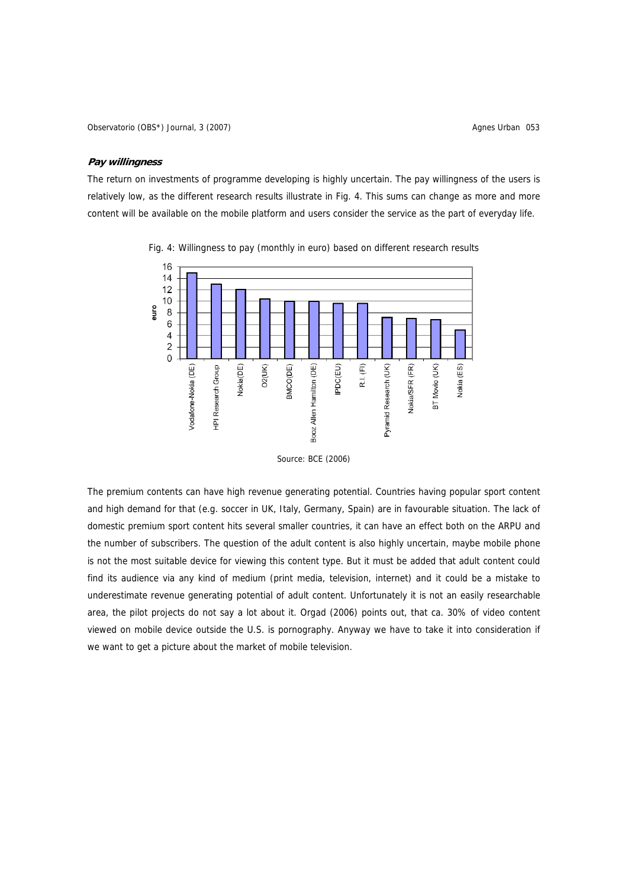Observatorio (OBS\*) Journal, 3 (2007) <br>
Agnes Urban 053

## **Pay willingness**

The return on investments of programme developing is highly uncertain. The pay willingness of the users is relatively low, as the different research results illustrate in Fig. 4. This sums can change as more and more content will be available on the mobile platform and users consider the service as the part of everyday life.



Fig. 4: Willingness to pay (monthly in euro) based on different research results

The premium contents can have high revenue generating potential. Countries having popular sport content and high demand for that (e.g. soccer in UK, Italy, Germany, Spain) are in favourable situation. The lack of domestic premium sport content hits several smaller countries, it can have an effect both on the ARPU and the number of subscribers. The question of the adult content is also highly uncertain, maybe mobile phone is not the most suitable device for viewing this content type. But it must be added that adult content could find its audience via any kind of medium (print media, television, internet) and it could be a mistake to underestimate revenue generating potential of adult content. Unfortunately it is not an easily researchable area, the pilot projects do not say a lot about it. Orgad (2006) points out, that ca. 30% of video content viewed on mobile device outside the U.S. is pornography. Anyway we have to take it into consideration if we want to get a picture about the market of mobile television.

Source: BCE (2006)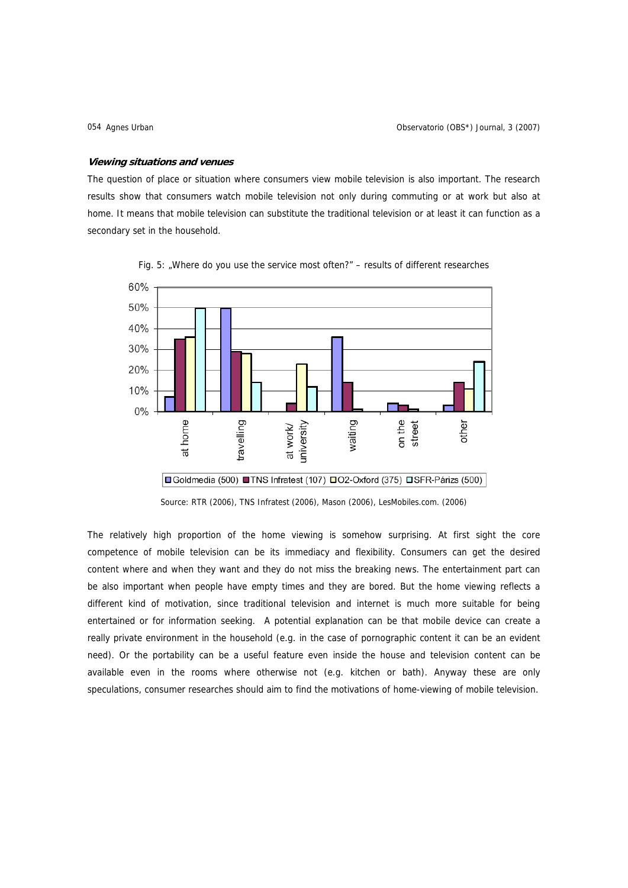#### **Viewing situations and venues**

The question of place or situation where consumers view mobile television is also important. The research results show that consumers watch mobile television not only during commuting or at work but also at home. It means that mobile television can substitute the traditional television or at least it can function as a secondary set in the household.



Fig. 5: "Where do you use the service most often?" – results of different researches

Source: RTR (2006), TNS Infratest (2006), Mason (2006), LesMobiles.com. (2006)

The relatively high proportion of the home viewing is somehow surprising. At first sight the core competence of mobile television can be its immediacy and flexibility. Consumers can get the desired content where and when they want and they do not miss the breaking news. The entertainment part can be also important when people have empty times and they are bored. But the home viewing reflects a different kind of motivation, since traditional television and internet is much more suitable for being entertained or for information seeking. A potential explanation can be that mobile device can create a really private environment in the household (e.g. in the case of pornographic content it can be an evident need). Or the portability can be a useful feature even inside the house and television content can be available even in the rooms where otherwise not (e.g. kitchen or bath). Anyway these are only speculations, consumer researches should aim to find the motivations of home-viewing of mobile television.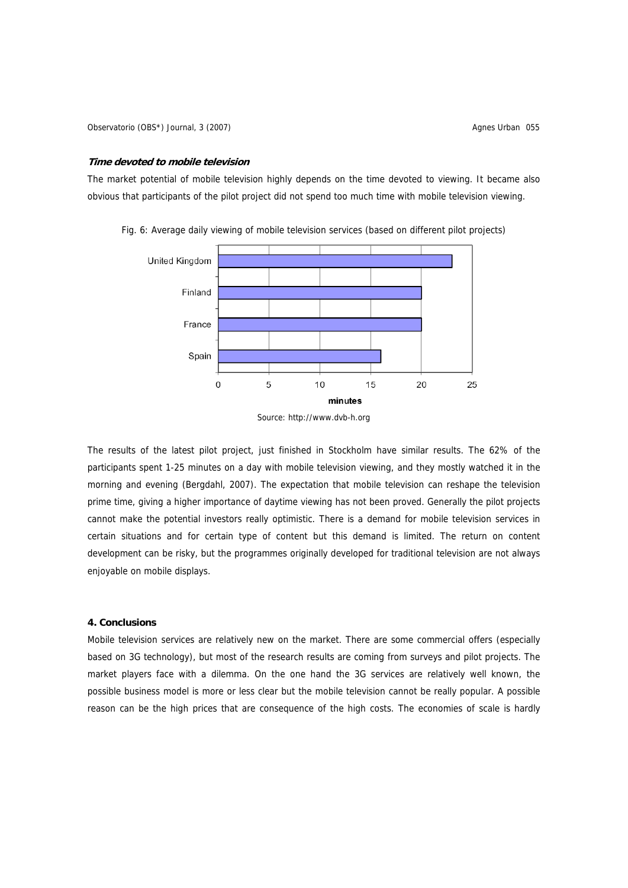### **Time devoted to mobile television**

The market potential of mobile television highly depends on the time devoted to viewing. It became also obvious that participants of the pilot project did not spend too much time with mobile television viewing.



Fig. 6: Average daily viewing of mobile television services (based on different pilot projects)

The results of the latest pilot project, just finished in Stockholm have similar results. The 62% of the participants spent 1-25 minutes on a day with mobile television viewing, and they mostly watched it in the morning and evening (Bergdahl, 2007). The expectation that mobile television can reshape the television prime time, giving a higher importance of daytime viewing has not been proved. Generally the pilot projects cannot make the potential investors really optimistic. There is a demand for mobile television services in certain situations and for certain type of content but this demand is limited. The return on content development can be risky, but the programmes originally developed for traditional television are not always enjoyable on mobile displays.

## **4. Conclusions**

Mobile television services are relatively new on the market. There are some commercial offers (especially based on 3G technology), but most of the research results are coming from surveys and pilot projects. The market players face with a dilemma. On the one hand the 3G services are relatively well known, the possible business model is more or less clear but the mobile television cannot be really popular. A possible reason can be the high prices that are consequence of the high costs. The economies of scale is hardly

Source: http://www.dvb-h.org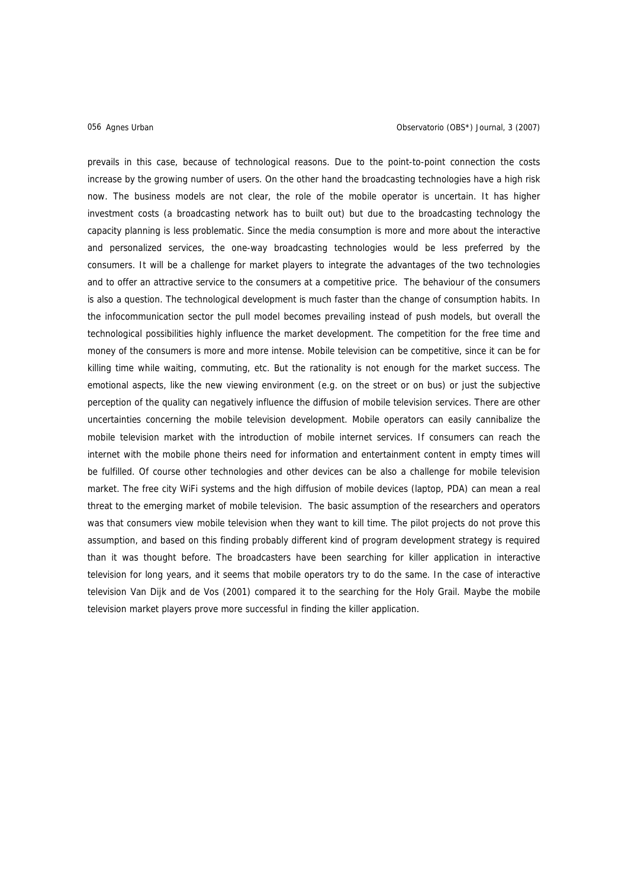prevails in this case, because of technological reasons. Due to the point-to-point connection the costs increase by the growing number of users. On the other hand the broadcasting technologies have a high risk now. The business models are not clear, the role of the mobile operator is uncertain. It has higher investment costs (a broadcasting network has to built out) but due to the broadcasting technology the capacity planning is less problematic. Since the media consumption is more and more about the interactive and personalized services, the one-way broadcasting technologies would be less preferred by the consumers. It will be a challenge for market players to integrate the advantages of the two technologies and to offer an attractive service to the consumers at a competitive price. The behaviour of the consumers is also a question. The technological development is much faster than the change of consumption habits. In the infocommunication sector the pull model becomes prevailing instead of push models, but overall the technological possibilities highly influence the market development. The competition for the free time and money of the consumers is more and more intense. Mobile television can be competitive, since it can be for killing time while waiting, commuting, etc. But the rationality is not enough for the market success. The emotional aspects, like the new viewing environment (e.g. on the street or on bus) or just the subjective perception of the quality can negatively influence the diffusion of mobile television services. There are other uncertainties concerning the mobile television development. Mobile operators can easily cannibalize the mobile television market with the introduction of mobile internet services. If consumers can reach the internet with the mobile phone theirs need for information and entertainment content in empty times will be fulfilled. Of course other technologies and other devices can be also a challenge for mobile television market. The free city WiFi systems and the high diffusion of mobile devices (laptop, PDA) can mean a real threat to the emerging market of mobile television. The basic assumption of the researchers and operators was that consumers view mobile television when they want to kill time. The pilot projects do not prove this assumption, and based on this finding probably different kind of program development strategy is required than it was thought before. The broadcasters have been searching for killer application in interactive television for long years, and it seems that mobile operators try to do the same. In the case of interactive television Van Dijk and de Vos (2001) compared it to the searching for the Holy Grail. Maybe the mobile television market players prove more successful in finding the killer application.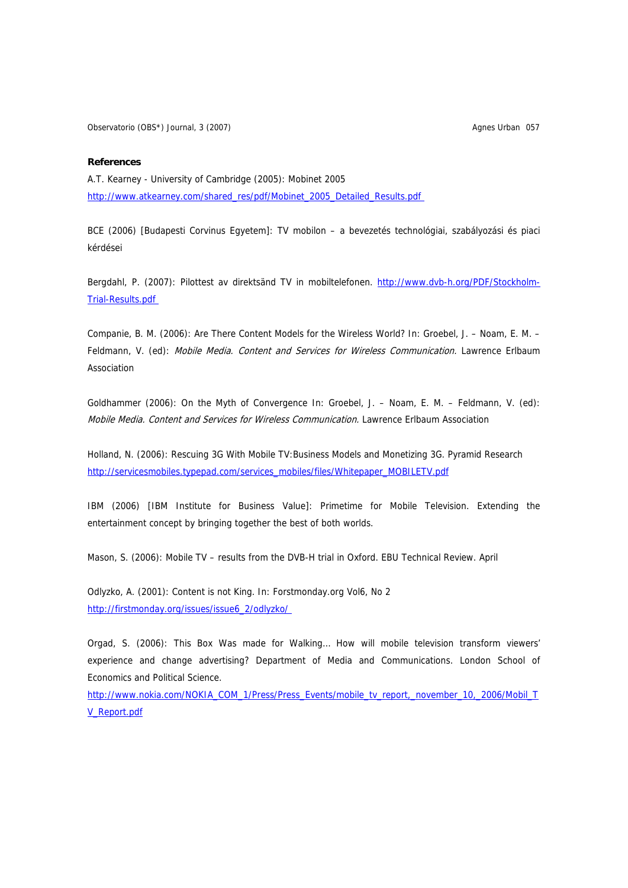Observatorio (OBS\*) Journal, 3 (2007) **Agnes Urban 057** Agnes Urban 057

## **References**

A.T. Kearney - University of Cambridge (2005): Mobinet 2005 http://www.atkearney.com/shared\_res/pdf/Mobinet\_2005\_Detailed\_Results.pdf

BCE (2006) [Budapesti Corvinus Egyetem]: TV mobilon – a bevezetés technológiai, szabályozási és piaci kérdései

Bergdahl, P. (2007): Pilottest av direktsänd TV in mobiltelefonen. http://www.dvb-h.org/PDF/Stockholm-Trial-Results.pdf

Companie, B. M. (2006): Are There Content Models for the Wireless World? In: Groebel, J. – Noam, E. M. – Feldmann, V. (ed): Mobile Media. Content and Services for Wireless Communication. Lawrence Erlbaum Association

Goldhammer (2006): On the Myth of Convergence In: Groebel, J. – Noam, E. M. – Feldmann, V. (ed): Mobile Media. Content and Services for Wireless Communication. Lawrence Erlbaum Association

Holland, N. (2006): Rescuing 3G With Mobile TV:Business Models and Monetizing 3G. Pyramid Research [http://servicesmobiles.typepad.com/services\\_mobiles/files/Whitepaper\\_MOBILETV.pdf](http://servicesmobiles.typepad.com/services_mobiles/files/Whitepaper_MOBILETV.pdf)

IBM (2006) [IBM Institute for Business Value]: Primetime for Mobile Television. Extending the entertainment concept by bringing together the best of both worlds.

Mason, S. (2006): Mobile TV – results from the DVB-H trial in Oxford. EBU Technical Review. April

Odlyzko, A. (2001): Content is not King. In: Forstmonday.org Vol6, No 2 http://firstmonday.org/issues/issue6\_2/odlyzko/

Orgad, S. (2006): This Box Was made for Walking… How will mobile television transform viewers' experience and change advertising? Department of Media and Communications. London School of Economics and Political Science.

http://www.nokia.com/NOKIA\_COM\_1/Press/Press\_Events/mobile\_tv\_report,\_november\_10,\_2006/Mobil\_T V\_Report.pdf